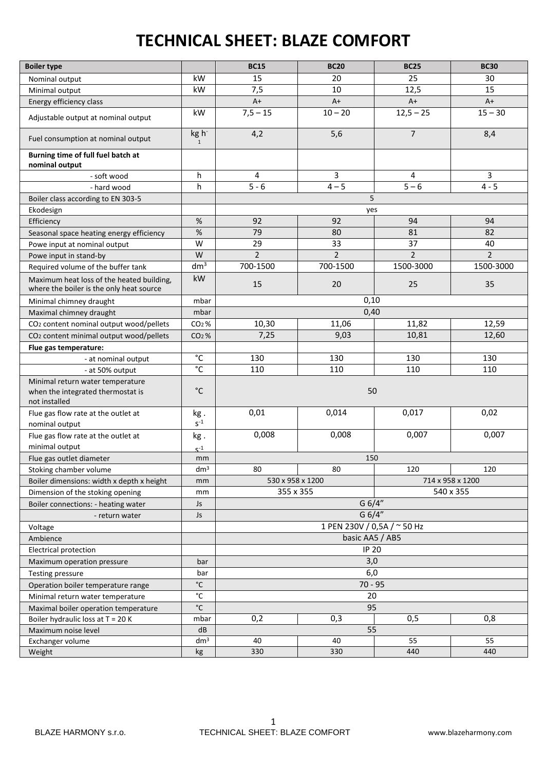## **TECHNICAL SHEET: BLAZE COMFORT**

| <b>Boiler type</b>                                                                     |                   | <b>BC15</b>                          | <b>BC20</b>    | <b>BC25</b>    | <b>BC30</b>    |  |  |
|----------------------------------------------------------------------------------------|-------------------|--------------------------------------|----------------|----------------|----------------|--|--|
| Nominal output                                                                         | kW                | 15                                   | 20             | 25             | 30             |  |  |
| Minimal output                                                                         | kW                | 7,5                                  | 10             | 12,5           | 15             |  |  |
| Energy efficiency class                                                                |                   | $A+$                                 | $A+$           | $A+$           | $A+$           |  |  |
| Adjustable output at nominal output                                                    | kW                | $7,5 - 15$                           | $10 - 20$      | $12,5 - 25$    | $15 - 30$      |  |  |
| Fuel consumption at nominal output                                                     | kg h<br>1         | 4,2                                  | 5,6            | $\overline{7}$ | 8,4            |  |  |
| Burning time of full fuel batch at<br>nominal output                                   |                   |                                      |                |                |                |  |  |
| - soft wood                                                                            | h                 | 4                                    | 3              | 4              | 3              |  |  |
| - hard wood                                                                            | h                 | $5 - 6$                              | $4 - 5$        | $5 - 6$        | $4 - 5$        |  |  |
| Boiler class according to EN 303-5                                                     |                   | 5                                    |                |                |                |  |  |
| Ekodesign                                                                              |                   | yes                                  |                |                |                |  |  |
| Efficiency                                                                             | $\%$              | 92                                   | 92             | 94             | 94             |  |  |
| Seasonal space heating energy efficiency                                               | $\%$              | 79                                   | 80             | 81             | 82             |  |  |
| Powe input at nominal output                                                           | W                 | 29                                   | 33             | 37             | 40             |  |  |
| Powe input in stand-by                                                                 | W                 | $\overline{2}$                       | $\overline{2}$ | $\overline{2}$ | $\overline{2}$ |  |  |
| Required volume of the buffer tank                                                     | dm <sup>3</sup>   | 700-1500                             | 700-1500       | 1500-3000      | 1500-3000      |  |  |
| Maximum heat loss of the heated building,<br>where the boiler is the only heat source  | kW                | 15                                   | 20             | 25             | 35             |  |  |
| Minimal chimney draught                                                                | mbar              | 0,10                                 |                |                |                |  |  |
| Maximal chimney draught                                                                | mbar              | 0,40                                 |                |                |                |  |  |
| CO <sub>2</sub> content nominal output wood/pellets                                    | $CO2$ %           | 10,30                                | 11,06          | 11,82          | 12,59          |  |  |
| CO <sub>2</sub> content minimal output wood/pellets                                    | $CO2$ %           | 7,25                                 | 9,03           | 10,81          | 12,60          |  |  |
| Flue gas temperature:                                                                  |                   |                                      |                |                |                |  |  |
| - at nominal output                                                                    | $^{\circ}{\rm C}$ | 130                                  | 130            | 130            | 130            |  |  |
| - at 50% output                                                                        | °C                | 110                                  | 110            | 110            | 110            |  |  |
| Minimal return water temperature<br>when the integrated thermostat is<br>not installed | $^{\circ}$ C      | 50                                   |                |                |                |  |  |
| Flue gas flow rate at the outlet at<br>nominal output                                  | kg.<br>$S^{-1}$   | 0,01                                 | 0,014          | 0,017          | 0,02           |  |  |
| Flue gas flow rate at the outlet at<br>minimal output                                  | kg.<br>$S^{-1}$   | 0,008                                | 0,008          | 0,007          | 0,007          |  |  |
| Flue gas outlet diameter                                                               | mm                |                                      | 150            |                |                |  |  |
| Stoking chamber volume                                                                 | dm <sup>3</sup>   | 80                                   | 80             | 120            | 120            |  |  |
| Boiler dimensions: width x depth x height                                              | mm                | 530 x 958 x 1200<br>714 x 958 x 1200 |                |                |                |  |  |
| Dimension of the stoking opening                                                       | mm                | 355 x 355<br>540 x 355               |                |                |                |  |  |
| Boiler connections: - heating water                                                    | Js                | G 6/4"                               |                |                |                |  |  |
| - return water                                                                         | Js                | G 6/4"                               |                |                |                |  |  |
| Voltage                                                                                |                   | 1 PEN 230V / 0,5A / ~ 50 Hz          |                |                |                |  |  |
| Ambience                                                                               |                   | basic AA5 / AB5                      |                |                |                |  |  |
| <b>Electrical protection</b>                                                           |                   | <b>IP 20</b>                         |                |                |                |  |  |
| Maximum operation pressure                                                             | bar               | 3,0                                  |                |                |                |  |  |
| <b>Testing pressure</b>                                                                | bar               | 6,0                                  |                |                |                |  |  |
| Operation boiler temperature range                                                     | $^{\circ}$ C      | $70 - 95$                            |                |                |                |  |  |
| Minimal return water temperature                                                       | $^{\circ}$ C      | 20                                   |                |                |                |  |  |
| Maximal boiler operation temperature                                                   | $^{\circ}$ C      | 95                                   |                |                |                |  |  |
| Boiler hydraulic loss at $T = 20$ K                                                    | mbar              | 0,2<br>0,3<br>0,5<br>0,8             |                |                |                |  |  |
| Maximum noise level                                                                    | dB                | 55                                   |                |                |                |  |  |
| Exchanger volume                                                                       | dm <sup>3</sup>   | 40                                   | 40             | 55             | 55             |  |  |
| Weight                                                                                 | kg                | 330                                  | 330            | 440            | 440            |  |  |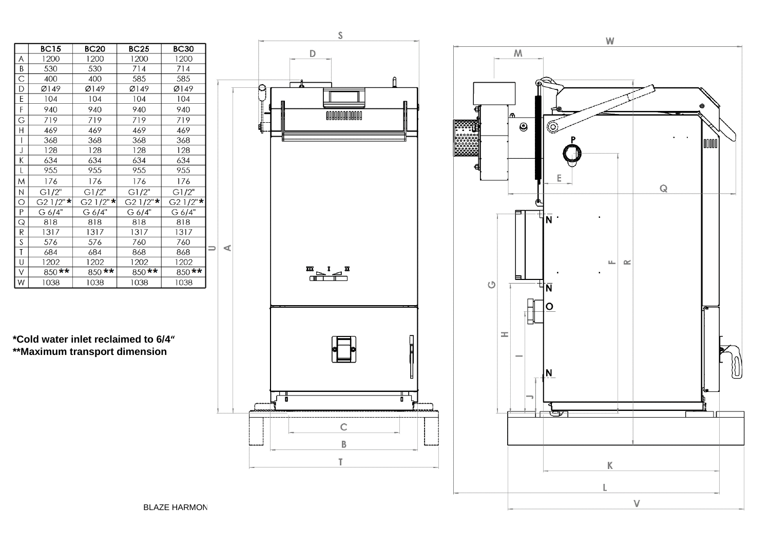|                | <b>BC15</b> | <b>BC20</b> | <b>BC25</b> | <b>BC30</b> |           |
|----------------|-------------|-------------|-------------|-------------|-----------|
| Α              | 1200        | 1200        | 1200        | 1200        |           |
| Β              | 530         | 530         | 714         | 714         |           |
| C              | 400         | 400         | 585         | 585         |           |
| D              | Ø149        | Ø149        | Ø149        | Ø149        |           |
| E              | 104         | 104         | 104         | 104         |           |
| F              | 940         | 940         | 940         | 940         |           |
| G              | 719         | 719         | 719         | 719         |           |
| Η              | 469         | 469         | 469         | 469         |           |
| $\overline{1}$ | 368         | 368         | 368         | 368         |           |
| J              | 128         | 128         | 128         | 128         |           |
| Κ              | 634         | 634         | 634         | 634         |           |
| L              | 955         | 955         | 955         | 955         |           |
| M              | 176         | 176         | 176         | 176         |           |
| И              | GI/2"       | GI/2"       | GI/2"       | GI/2"       |           |
| О              | $G21/2"$ *  | G2 1/2"*    | $G21/2"$ *  | $G21/2"$ *  |           |
| Ρ              | G 6/4"      | G 6/4"      | G 6/4"      | G 6/4"      |           |
| Q              | 818         | 818         | 818         | 818         |           |
| R              | 1317        | 1317        | 1317        | 1317        |           |
| S              | 576         | 576         | 760         | 760         |           |
| T              | 684         | 684         | 868         | 868         | mari<br>B |
| U              | 1202        | 1202        | 1202        | 1202        |           |
| V              | $850$ **    | $850$ **    | $850$ **    | 850**       |           |
| W              | 1038        | 1038        | 1038        | 1038        |           |

**\*Cold water inlet reclaimed to 6/4" \*\*Maximum transport dimension**



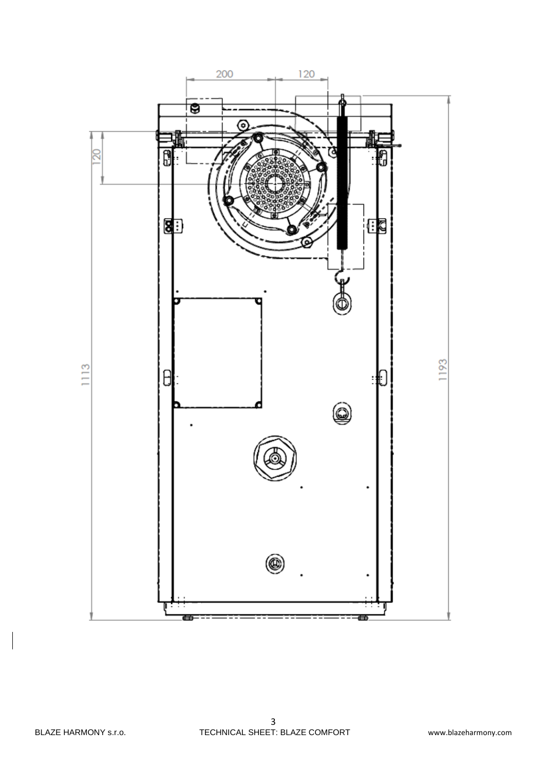